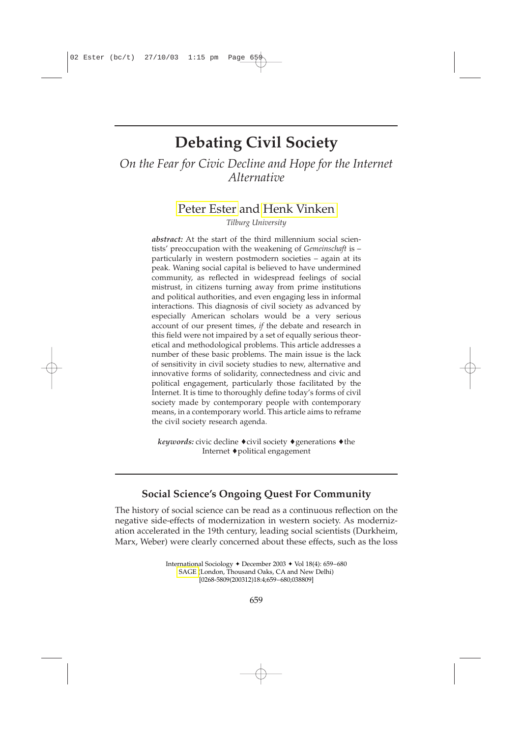# **Debating Civil Society**

# *On the Fear for Civic Decline and Hope for the Internet Alternative*

# [Peter Ester](#page-21-0) and [Henk Vinken](#page-21-0)

*Tilburg University*

*abstract:* At the start of the third millennium social scientists' preoccupation with the weakening of *Gemeinschaft* is – particularly in western postmodern societies – again at its peak. Waning social capital is believed to have undermined community, as reflected in widespread feelings of social mistrust, in citizens turning away from prime institutions and political authorities, and even engaging less in informal interactions. This diagnosis of civil society as advanced by especially American scholars would be a very serious account of our present times, *if* the debate and research in this field were not impaired by a set of equally serious theoretical and methodological problems. This article addresses a number of these basic problems. The main issue is the lack of sensitivity in civil society studies to new, alternative and innovative forms of solidarity, connectedness and civic and political engagement, particularly those facilitated by the Internet. It is time to thoroughly define today's forms of civil society made by contemporary people with contemporary means, in a contemporary world. This article aims to reframe the civil society research agenda.

*keywords:* civic decline ♦ civil society ♦ generations ♦ the Internet ♦ political engagement

### **Social Science's Ongoing Quest For Community**

The history of social science can be read as a continuous reflection on the negative side-effects of modernization in western society. As modernization accelerated in the 19th century, leading social scientists (Durkheim, Marx, Weber) were clearly concerned about these effects, such as the loss

> International Sociology ✦ December 2003 ✦ Vol 18(4): 659–680 [SAGE \(](www.sagepublications.com)London, Thousand Oaks, CA and New Delhi) [0268-5809(200312)18:4;659–680;038809]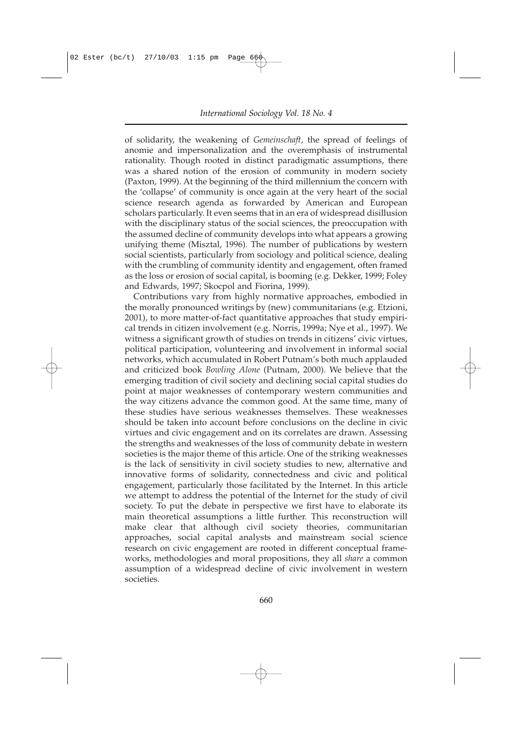of solidarity, the weakening of *Gemeinschaft*, the spread of feelings of anomie and impersonalization and the overemphasis of instrumental rationality. Though rooted in distinct paradigmatic assumptions, there was a shared notion of the erosion of community in modern society (Paxton, 1999). At the beginning of the third millennium the concern with the 'collapse' of community is once again at the very heart of the social science research agenda as forwarded by American and European scholars particularly. It even seems that in an era of widespread disillusion with the disciplinary status of the social sciences, the preoccupation with the assumed decline of community develops into what appears a growing unifying theme (Misztal, 1996). The number of publications by western social scientists, particularly from sociology and political science, dealing with the crumbling of community identity and engagement, often framed as the loss or erosion of social capital, is booming (e.g. Dekker, 1999; Foley and Edwards, 1997; Skocpol and Fiorina, 1999).

Contributions vary from highly normative approaches, embodied in the morally pronounced writings by (new) communitarians (e.g. Etzioni, 2001), to more matter-of-fact quantitative approaches that study empirical trends in citizen involvement (e.g. Norris, 1999a; Nye et al., 1997). We witness a significant growth of studies on trends in citizens' civic virtues, political participation, volunteering and involvement in informal social networks, which accumulated in Robert Putnam's both much applauded and criticized book *Bowling Alone* (Putnam, 2000). We believe that the emerging tradition of civil society and declining social capital studies do point at major weaknesses of contemporary western communities and the way citizens advance the common good. At the same time, many of these studies have serious weaknesses themselves. These weaknesses should be taken into account before conclusions on the decline in civic virtues and civic engagement and on its correlates are drawn. Assessing the strengths and weaknesses of the loss of community debate in western societies is the major theme of this article. One of the striking weaknesses is the lack of sensitivity in civil society studies to new, alternative and innovative forms of solidarity, connectedness and civic and political engagement, particularly those facilitated by the Internet. In this article we attempt to address the potential of the Internet for the study of civil society. To put the debate in perspective we first have to elaborate its main theoretical assumptions a little further. This reconstruction will make clear that although civil society theories, communitarian approaches, social capital analysts and mainstream social science research on civic engagement are rooted in different conceptual frameworks, methodologies and moral propositions, they all *share* a common assumption of a widespread decline of civic involvement in western societies.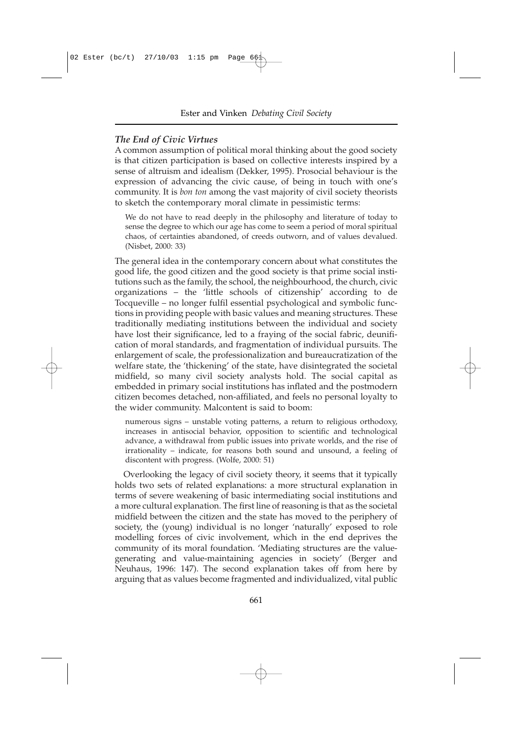#### *The End of Civic Virtues*

A common assumption of political moral thinking about the good society is that citizen participation is based on collective interests inspired by a sense of altruism and idealism (Dekker, 1995). Prosocial behaviour is the expression of advancing the civic cause, of being in touch with one's community. It is *bon ton* among the vast majority of civil society theorists to sketch the contemporary moral climate in pessimistic terms:

We do not have to read deeply in the philosophy and literature of today to sense the degree to which our age has come to seem a period of moral spiritual chaos, of certainties abandoned, of creeds outworn, and of values devalued. (Nisbet, 2000: 33)

The general idea in the contemporary concern about what constitutes the good life, the good citizen and the good society is that prime social institutions such as the family, the school, the neighbourhood, the church, civic organizations – the 'little schools of citizenship' according to de Tocqueville – no longer fulfil essential psychological and symbolic functions in providing people with basic values and meaning structures. These traditionally mediating institutions between the individual and society have lost their significance, led to a fraying of the social fabric, deunification of moral standards, and fragmentation of individual pursuits. The enlargement of scale, the professionalization and bureaucratization of the welfare state, the 'thickening' of the state, have disintegrated the societal midfield, so many civil society analysts hold. The social capital as embedded in primary social institutions has inflated and the postmodern citizen becomes detached, non-affiliated, and feels no personal loyalty to the wider community. Malcontent is said to boom:

numerous signs – unstable voting patterns, a return to religious orthodoxy, increases in antisocial behavior, opposition to scientific and technological advance, a withdrawal from public issues into private worlds, and the rise of irrationality – indicate, for reasons both sound and unsound, a feeling of discontent with progress. (Wolfe, 2000: 51)

Overlooking the legacy of civil society theory, it seems that it typically holds two sets of related explanations: a more structural explanation in terms of severe weakening of basic intermediating social institutions and a more cultural explanation. The first line of reasoning is that as the societal midfield between the citizen and the state has moved to the periphery of society, the (young) individual is no longer 'naturally' exposed to role modelling forces of civic involvement, which in the end deprives the community of its moral foundation. 'Mediating structures are the valuegenerating and value-maintaining agencies in society' (Berger and Neuhaus, 1996: 147). The second explanation takes off from here by arguing that as values become fragmented and individualized, vital public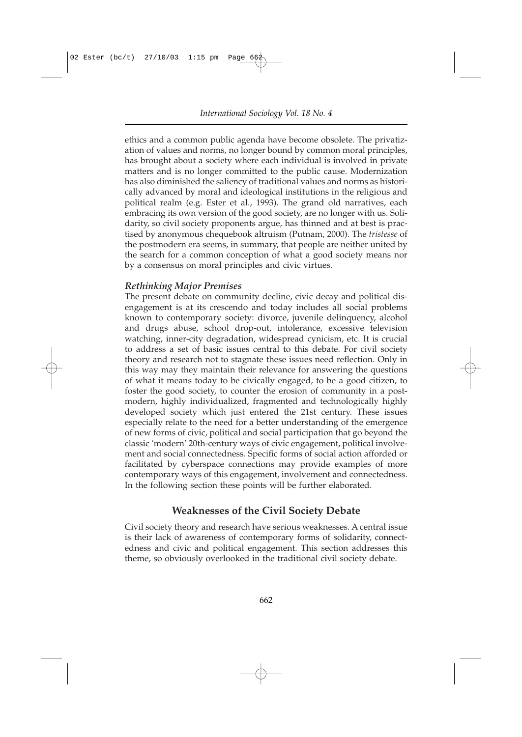ethics and a common public agenda have become obsolete. The privatization of values and norms, no longer bound by common moral principles, has brought about a society where each individual is involved in private matters and is no longer committed to the public cause. Modernization has also diminished the saliency of traditional values and norms as historically advanced by moral and ideological institutions in the religious and political realm (e.g. Ester et al., 1993). The grand old narratives, each embracing its own version of the good society, are no longer with us. Solidarity, so civil society proponents argue, has thinned and at best is practised by anonymous chequebook altruism (Putnam, 2000). The *tristesse* of the postmodern era seems, in summary, that people are neither united by the search for a common conception of what a good society means nor by a consensus on moral principles and civic virtues.

#### *Rethinking Major Premises*

The present debate on community decline, civic decay and political disengagement is at its crescendo and today includes all social problems known to contemporary society: divorce, juvenile delinquency, alcohol and drugs abuse, school drop-out, intolerance, excessive television watching, inner-city degradation, widespread cynicism, etc. It is crucial to address a set of basic issues central to this debate. For civil society theory and research not to stagnate these issues need reflection. Only in this way may they maintain their relevance for answering the questions of what it means today to be civically engaged, to be a good citizen, to foster the good society, to counter the erosion of community in a postmodern, highly individualized, fragmented and technologically highly developed society which just entered the 21st century. These issues especially relate to the need for a better understanding of the emergence of new forms of civic, political and social participation that go beyond the classic 'modern' 20th-century ways of civic engagement, political involvement and social connectedness. Specific forms of social action afforded or facilitated by cyberspace connections may provide examples of more contemporary ways of this engagement, involvement and connectedness. In the following section these points will be further elaborated.

#### **Weaknesses of the Civil Society Debate**

Civil society theory and research have serious weaknesses. A central issue is their lack of awareness of contemporary forms of solidarity, connectedness and civic and political engagement. This section addresses this theme, so obviously overlooked in the traditional civil society debate.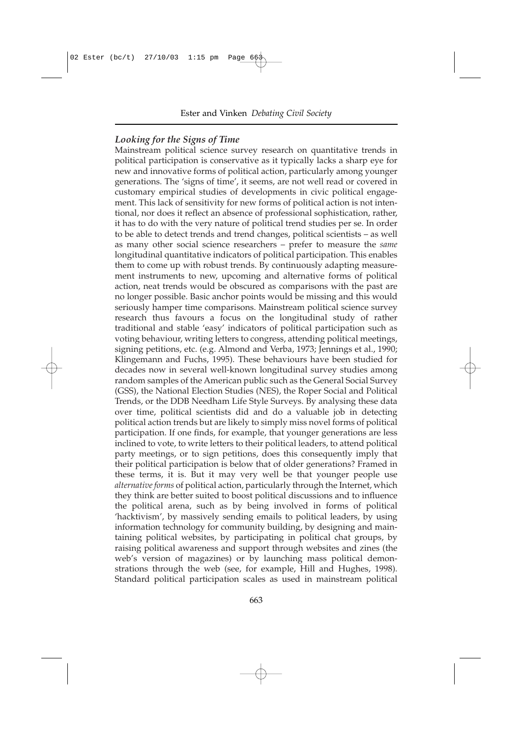#### *Looking for the Signs of Time*

Mainstream political science survey research on quantitative trends in political participation is conservative as it typically lacks a sharp eye for new and innovative forms of political action, particularly among younger generations. The 'signs of time', it seems, are not well read or covered in customary empirical studies of developments in civic political engagement. This lack of sensitivity for new forms of political action is not intentional, nor does it reflect an absence of professional sophistication, rather, it has to do with the very nature of political trend studies per se. In order to be able to detect trends and trend changes, political scientists – as well as many other social science researchers – prefer to measure the *same* longitudinal quantitative indicators of political participation. This enables them to come up with robust trends. By continuously adapting measurement instruments to new, upcoming and alternative forms of political action, neat trends would be obscured as comparisons with the past are no longer possible. Basic anchor points would be missing and this would seriously hamper time comparisons. Mainstream political science survey research thus favours a focus on the longitudinal study of rather traditional and stable 'easy' indicators of political participation such as voting behaviour, writing letters to congress, attending political meetings, signing petitions, etc. (e.g. Almond and Verba, 1973; Jennings et al., 1990; Klingemann and Fuchs, 1995). These behaviours have been studied for decades now in several well-known longitudinal survey studies among random samples of the American public such as the General Social Survey (GSS), the National Election Studies (NES), the Roper Social and Political Trends, or the DDB Needham Life Style Surveys. By analysing these data over time, political scientists did and do a valuable job in detecting political action trends but are likely to simply miss novel forms of political participation. If one finds, for example, that younger generations are less inclined to vote, to write letters to their political leaders, to attend political party meetings, or to sign petitions, does this consequently imply that their political participation is below that of older generations? Framed in these terms, it is. But it may very well be that younger people use *alternative forms* of political action, particularly through the Internet, which they think are better suited to boost political discussions and to influence the political arena, such as by being involved in forms of political 'hacktivism', by massively sending emails to political leaders, by using information technology for community building, by designing and maintaining political websites, by participating in political chat groups, by raising political awareness and support through websites and zines (the web's version of magazines) or by launching mass political demonstrations through the web (see, for example, Hill and Hughes, 1998). Standard political participation scales as used in mainstream political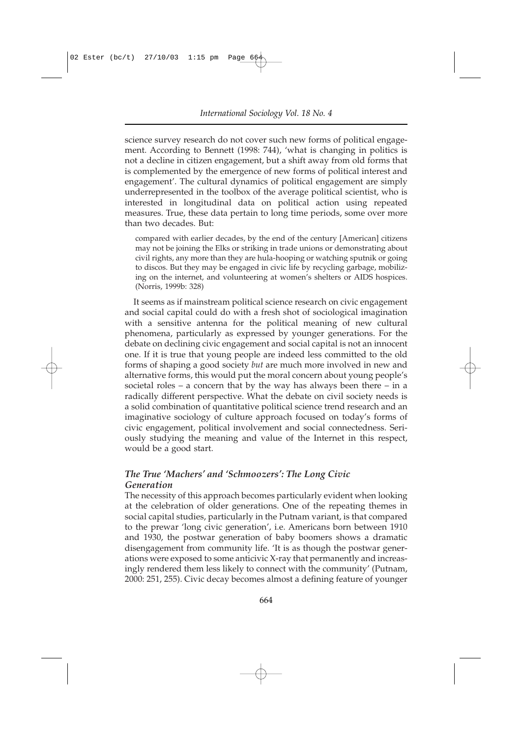science survey research do not cover such new forms of political engagement. According to Bennett (1998: 744), 'what is changing in politics is not a decline in citizen engagement, but a shift away from old forms that is complemented by the emergence of new forms of political interest and engagement'. The cultural dynamics of political engagement are simply underrepresented in the toolbox of the average political scientist, who is interested in longitudinal data on political action using repeated measures. True, these data pertain to long time periods, some over more than two decades. But:

compared with earlier decades, by the end of the century [American] citizens may not be joining the Elks or striking in trade unions or demonstrating about civil rights, any more than they are hula-hooping or watching sputnik or going to discos. But they may be engaged in civic life by recycling garbage, mobilizing on the internet, and volunteering at women's shelters or AIDS hospices. (Norris, 1999b: 328)

It seems as if mainstream political science research on civic engagement and social capital could do with a fresh shot of sociological imagination with a sensitive antenna for the political meaning of new cultural phenomena, particularly as expressed by younger generations. For the debate on declining civic engagement and social capital is not an innocent one. If it is true that young people are indeed less committed to the old forms of shaping a good society *but* are much more involved in new and alternative forms, this would put the moral concern about young people's societal roles – a concern that by the way has always been there – in a radically different perspective. What the debate on civil society needs is a solid combination of quantitative political science trend research and an imaginative sociology of culture approach focused on today's forms of civic engagement, political involvement and social connectedness. Seriously studying the meaning and value of the Internet in this respect, would be a good start.

#### *The True 'Machers' and 'Schmoozers': The Long Civic Generation*

The necessity of this approach becomes particularly evident when looking at the celebration of older generations. One of the repeating themes in social capital studies, particularly in the Putnam variant, is that compared to the prewar 'long civic generation', i.e. Americans born between 1910 and 1930, the postwar generation of baby boomers shows a dramatic disengagement from community life. 'It is as though the postwar generations were exposed to some anticivic X-ray that permanently and increasingly rendered them less likely to connect with the community' (Putnam, 2000: 251, 255). Civic decay becomes almost a defining feature of younger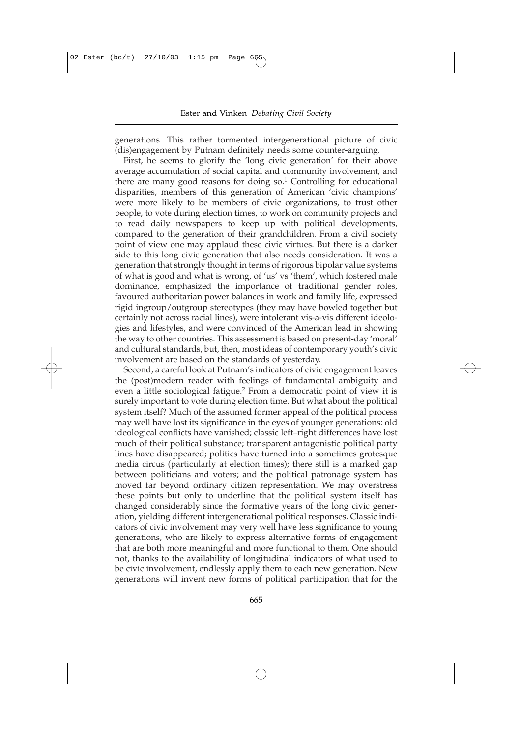generations. This rather tormented intergenerational picture of civic (dis)engagement by Putnam definitely needs some counter-arguing.

First, he seems to glorify the 'long civic generation' for their above average accumulation of social capital and community involvement, and there are many good reasons for doing  $so<sup>1</sup>$  Controlling for educational disparities, members of this generation of American 'civic champions' were more likely to be members of civic organizations, to trust other people, to vote during election times, to work on community projects and to read daily newspapers to keep up with political developments, compared to the generation of their grandchildren. From a civil society point of view one may applaud these civic virtues. But there is a darker side to this long civic generation that also needs consideration. It was a generation that strongly thought in terms of rigorous bipolar value systems of what is good and what is wrong, of 'us' vs 'them', which fostered male dominance, emphasized the importance of traditional gender roles, favoured authoritarian power balances in work and family life, expressed rigid ingroup/outgroup stereotypes (they may have bowled together but certainly not across racial lines), were intolerant vis-a-vis different ideologies and lifestyles, and were convinced of the American lead in showing the way to other countries. This assessment is based on present-day 'moral' and cultural standards, but, then, most ideas of contemporary youth's civic involvement are based on the standards of yesterday.

Second, a careful look at Putnam's indicators of civic engagement leaves the (post)modern reader with feelings of fundamental ambiguity and even a little sociological fatigue.2 From a democratic point of view it is surely important to vote during election time. But what about the political system itself? Much of the assumed former appeal of the political process may well have lost its significance in the eyes of younger generations: old ideological conflicts have vanished; classic left–right differences have lost much of their political substance; transparent antagonistic political party lines have disappeared; politics have turned into a sometimes grotesque media circus (particularly at election times); there still is a marked gap between politicians and voters; and the political patronage system has moved far beyond ordinary citizen representation. We may overstress these points but only to underline that the political system itself has changed considerably since the formative years of the long civic generation, yielding different intergenerational political responses. Classic indicators of civic involvement may very well have less significance to young generations, who are likely to express alternative forms of engagement that are both more meaningful and more functional to them. One should not, thanks to the availability of longitudinal indicators of what used to be civic involvement, endlessly apply them to each new generation. New generations will invent new forms of political participation that for the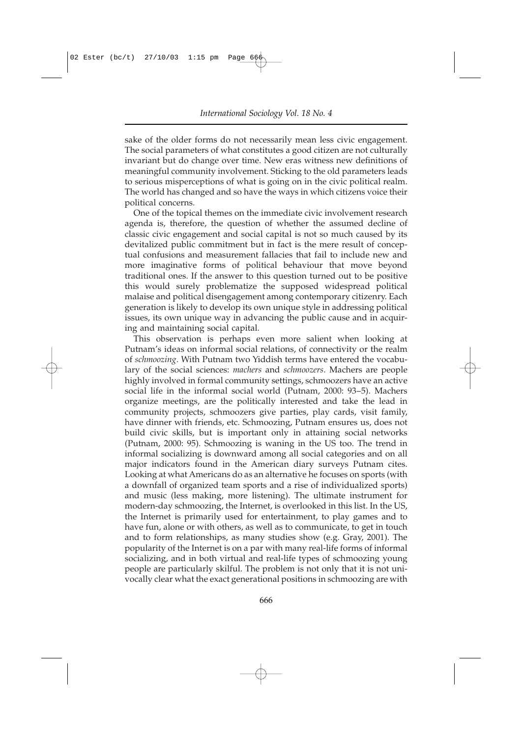sake of the older forms do not necessarily mean less civic engagement. The social parameters of what constitutes a good citizen are not culturally invariant but do change over time. New eras witness new definitions of meaningful community involvement. Sticking to the old parameters leads to serious misperceptions of what is going on in the civic political realm. The world has changed and so have the ways in which citizens voice their political concerns.

One of the topical themes on the immediate civic involvement research agenda is, therefore, the question of whether the assumed decline of classic civic engagement and social capital is not so much caused by its devitalized public commitment but in fact is the mere result of conceptual confusions and measurement fallacies that fail to include new and more imaginative forms of political behaviour that move beyond traditional ones. If the answer to this question turned out to be positive this would surely problematize the supposed widespread political malaise and political disengagement among contemporary citizenry. Each generation is likely to develop its own unique style in addressing political issues, its own unique way in advancing the public cause and in acquiring and maintaining social capital.

This observation is perhaps even more salient when looking at Putnam's ideas on informal social relations, of connectivity or the realm of *schmoozing*. With Putnam two Yiddish terms have entered the vocabulary of the social sciences: *machers* and *schmoozers*. Machers are people highly involved in formal community settings, schmoozers have an active social life in the informal social world (Putnam, 2000: 93–5). Machers organize meetings, are the politically interested and take the lead in community projects, schmoozers give parties, play cards, visit family, have dinner with friends, etc. Schmoozing, Putnam ensures us, does not build civic skills, but is important only in attaining social networks (Putnam, 2000: 95). Schmoozing is waning in the US too. The trend in informal socializing is downward among all social categories and on all major indicators found in the American diary surveys Putnam cites. Looking at what Americans do as an alternative he focuses on sports (with a downfall of organized team sports and a rise of individualized sports) and music (less making, more listening). The ultimate instrument for modern-day schmoozing, the Internet, is overlooked in this list. In the US, the Internet is primarily used for entertainment, to play games and to have fun, alone or with others, as well as to communicate, to get in touch and to form relationships, as many studies show (e.g. Gray, 2001). The popularity of the Internet is on a par with many real-life forms of informal socializing, and in both virtual and real-life types of schmoozing young people are particularly skilful. The problem is not only that it is not univocally clear what the exact generational positions in schmoozing are with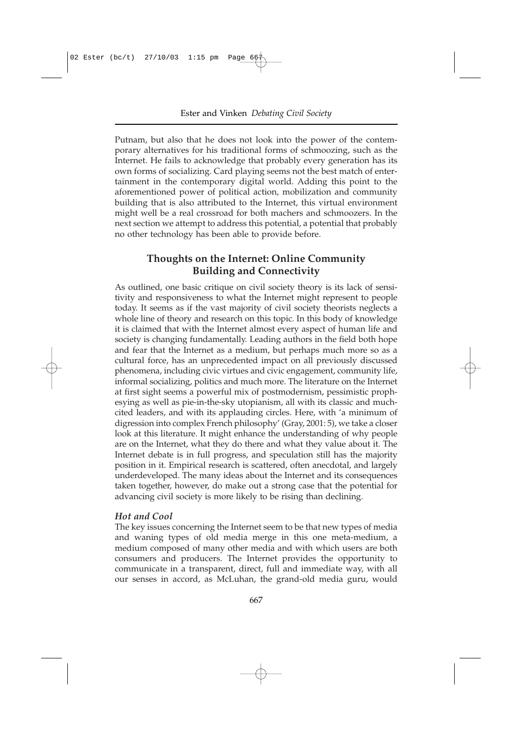Putnam, but also that he does not look into the power of the contemporary alternatives for his traditional forms of schmoozing, such as the Internet. He fails to acknowledge that probably every generation has its own forms of socializing. Card playing seems not the best match of entertainment in the contemporary digital world. Adding this point to the aforementioned power of political action, mobilization and community building that is also attributed to the Internet, this virtual environment might well be a real crossroad for both machers and schmoozers. In the next section we attempt to address this potential, a potential that probably no other technology has been able to provide before.

# **Thoughts on the Internet: Online Community Building and Connectivity**

As outlined, one basic critique on civil society theory is its lack of sensitivity and responsiveness to what the Internet might represent to people today. It seems as if the vast majority of civil society theorists neglects a whole line of theory and research on this topic. In this body of knowledge it is claimed that with the Internet almost every aspect of human life and society is changing fundamentally. Leading authors in the field both hope and fear that the Internet as a medium, but perhaps much more so as a cultural force, has an unprecedented impact on all previously discussed phenomena, including civic virtues and civic engagement, community life, informal socializing, politics and much more. The literature on the Internet at first sight seems a powerful mix of postmodernism, pessimistic prophesying as well as pie-in-the-sky utopianism, all with its classic and muchcited leaders, and with its applauding circles. Here, with 'a minimum of digression into complex French philosophy' (Gray, 2001: 5), we take a closer look at this literature. It might enhance the understanding of why people are on the Internet, what they do there and what they value about it. The Internet debate is in full progress, and speculation still has the majority position in it. Empirical research is scattered, often anecdotal, and largely underdeveloped. The many ideas about the Internet and its consequences taken together, however, do make out a strong case that the potential for advancing civil society is more likely to be rising than declining.

#### *Hot and Cool*

The key issues concerning the Internet seem to be that new types of media and waning types of old media merge in this one meta-medium, a medium composed of many other media and with which users are both consumers and producers. The Internet provides the opportunity to communicate in a transparent, direct, full and immediate way, with all our senses in accord, as McLuhan, the grand-old media guru, would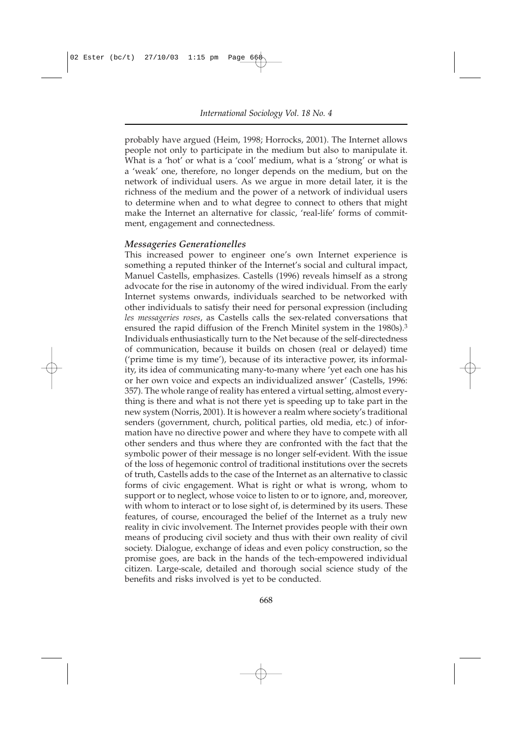probably have argued (Heim, 1998; Horrocks, 2001). The Internet allows people not only to participate in the medium but also to manipulate it. What is a 'hot' or what is a 'cool' medium, what is a 'strong' or what is a 'weak' one, therefore, no longer depends on the medium, but on the network of individual users. As we argue in more detail later, it is the richness of the medium and the power of a network of individual users to determine when and to what degree to connect to others that might make the Internet an alternative for classic, 'real-life' forms of commitment, engagement and connectedness.

#### *Messageries Generationelles*

This increased power to engineer one's own Internet experience is something a reputed thinker of the Internet's social and cultural impact, Manuel Castells, emphasizes. Castells (1996) reveals himself as a strong advocate for the rise in autonomy of the wired individual. From the early Internet systems onwards, individuals searched to be networked with other individuals to satisfy their need for personal expression (including *les messageries roses*, as Castells calls the sex-related conversations that ensured the rapid diffusion of the French Minitel system in the 1980s).<sup>3</sup> Individuals enthusiastically turn to the Net because of the self-directedness of communication, because it builds on chosen (real or delayed) time ('prime time is my time'), because of its interactive power, its informality, its idea of communicating many-to-many where 'yet each one has his or her own voice and expects an individualized answer' (Castells, 1996: 357). The whole range of reality has entered a virtual setting, almost everything is there and what is not there yet is speeding up to take part in the new system (Norris, 2001). It is however a realm where society's traditional senders (government, church, political parties, old media, etc.) of information have no directive power and where they have to compete with all other senders and thus where they are confronted with the fact that the symbolic power of their message is no longer self-evident. With the issue of the loss of hegemonic control of traditional institutions over the secrets of truth, Castells adds to the case of the Internet as an alternative to classic forms of civic engagement. What is right or what is wrong, whom to support or to neglect, whose voice to listen to or to ignore, and, moreover, with whom to interact or to lose sight of, is determined by its users. These features, of course, encouraged the belief of the Internet as a truly new reality in civic involvement. The Internet provides people with their own means of producing civil society and thus with their own reality of civil society. Dialogue, exchange of ideas and even policy construction, so the promise goes, are back in the hands of the tech-empowered individual citizen. Large-scale, detailed and thorough social science study of the benefits and risks involved is yet to be conducted.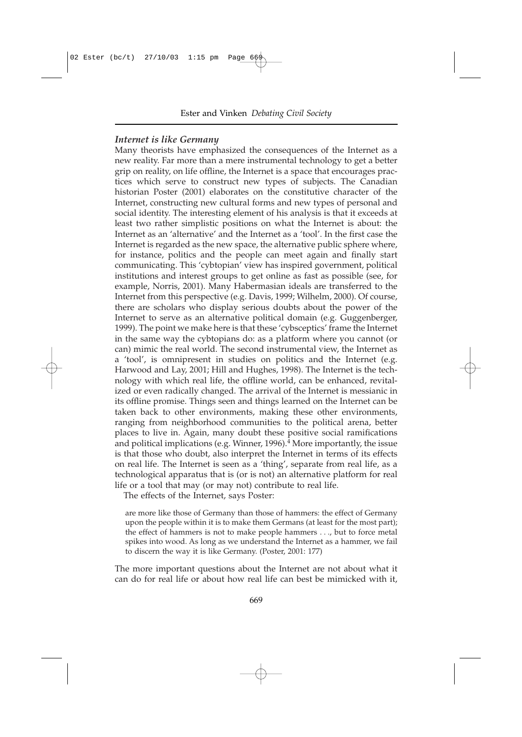#### *Internet is like Germany*

Many theorists have emphasized the consequences of the Internet as a new reality. Far more than a mere instrumental technology to get a better grip on reality, on life offline, the Internet is a space that encourages practices which serve to construct new types of subjects. The Canadian historian Poster (2001) elaborates on the constitutive character of the Internet, constructing new cultural forms and new types of personal and social identity. The interesting element of his analysis is that it exceeds at least two rather simplistic positions on what the Internet is about: the Internet as an 'alternative' and the Internet as a 'tool'. In the first case the Internet is regarded as the new space, the alternative public sphere where, for instance, politics and the people can meet again and finally start communicating. This 'cybtopian' view has inspired government, political institutions and interest groups to get online as fast as possible (see, for example, Norris, 2001). Many Habermasian ideals are transferred to the Internet from this perspective (e.g. Davis, 1999; Wilhelm, 2000). Of course, there are scholars who display serious doubts about the power of the Internet to serve as an alternative political domain (e.g. Guggenberger, 1999). The point we make here is that these 'cybsceptics' frame the Internet in the same way the cybtopians do: as a platform where you cannot (or can) mimic the real world. The second instrumental view, the Internet as a 'tool', is omnipresent in studies on politics and the Internet (e.g. Harwood and Lay, 2001; Hill and Hughes, 1998). The Internet is the technology with which real life, the offline world, can be enhanced, revitalized or even radically changed. The arrival of the Internet is messianic in its offline promise. Things seen and things learned on the Internet can be taken back to other environments, making these other environments, ranging from neighborhood communities to the political arena, better places to live in. Again, many doubt these positive social ramifications and political implications (e.g. Winner, 1996).<sup>4</sup> More importantly, the issue is that those who doubt, also interpret the Internet in terms of its effects on real life. The Internet is seen as a 'thing', separate from real life, as a technological apparatus that is (or is not) an alternative platform for real life or a tool that may (or may not) contribute to real life.

The effects of the Internet, says Poster:

are more like those of Germany than those of hammers: the effect of Germany upon the people within it is to make them Germans (at least for the most part); the effect of hammers is not to make people hammers . . ., but to force metal spikes into wood. As long as we understand the Internet as a hammer, we fail to discern the way it is like Germany. (Poster, 2001: 177)

The more important questions about the Internet are not about what it can do for real life or about how real life can best be mimicked with it,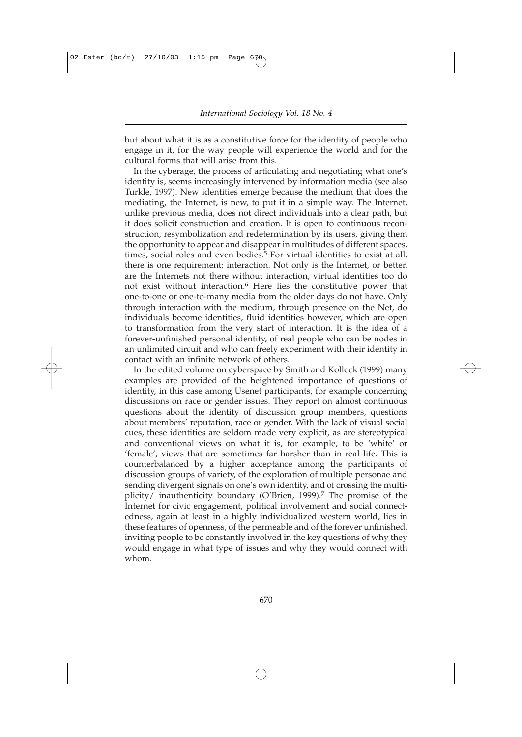but about what it is as a constitutive force for the identity of people who engage in it, for the way people will experience the world and for the cultural forms that will arise from this.

In the cyberage, the process of articulating and negotiating what one's identity is, seems increasingly intervened by information media (see also Turkle, 1997). New identities emerge because the medium that does the mediating, the Internet, is new, to put it in a simple way. The Internet, unlike previous media, does not direct individuals into a clear path, but it does solicit construction and creation. It is open to continuous reconstruction, resymbolization and redetermination by its users, giving them the opportunity to appear and disappear in multitudes of different spaces, times, social roles and even bodies.<sup>5</sup> For virtual identities to exist at all, there is one requirement: interaction. Not only is the Internet, or better, are the Internets not there without interaction, virtual identities too do not exist without interaction.6 Here lies the constitutive power that one-to-one or one-to-many media from the older days do not have. Only through interaction with the medium, through presence on the Net, do individuals become identities, fluid identities however, which are open to transformation from the very start of interaction. It is the idea of a forever-unfinished personal identity, of real people who can be nodes in an unlimited circuit and who can freely experiment with their identity in contact with an infinite network of others.

In the edited volume on cyberspace by Smith and Kollock (1999) many examples are provided of the heightened importance of questions of identity, in this case among Usenet participants, for example concerning discussions on race or gender issues. They report on almost continuous questions about the identity of discussion group members, questions about members' reputation, race or gender. With the lack of visual social cues, these identities are seldom made very explicit, as are stereotypical and conventional views on what it is, for example, to be 'white' or 'female', views that are sometimes far harsher than in real life. This is counterbalanced by a higher acceptance among the participants of discussion groups of variety, of the exploration of multiple personae and sending divergent signals on one's own identity, and of crossing the multiplicity/ inauthenticity boundary (O'Brien, 1999).<sup>7</sup> The promise of the Internet for civic engagement, political involvement and social connectedness, again at least in a highly individualized western world, lies in these features of openness, of the permeable and of the forever unfinished, inviting people to be constantly involved in the key questions of why they would engage in what type of issues and why they would connect with whom.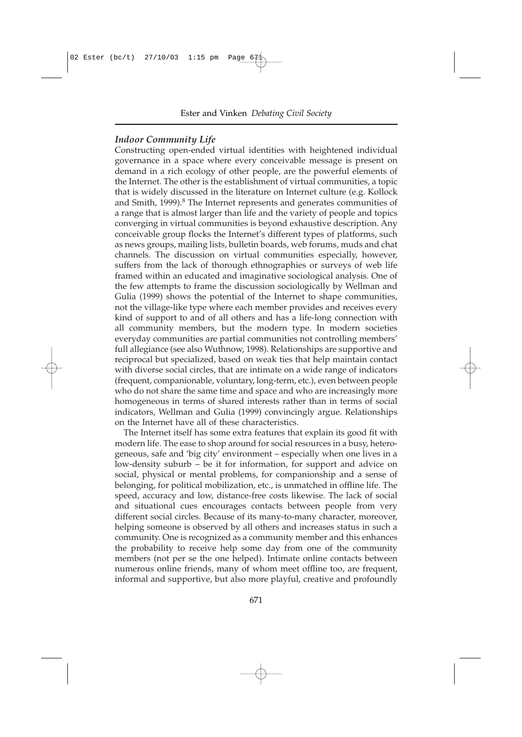#### *Indoor Community Life*

Constructing open-ended virtual identities with heightened individual governance in a space where every conceivable message is present on demand in a rich ecology of other people, are the powerful elements of the Internet. The other is the establishment of virtual communities, a topic that is widely discussed in the literature on Internet culture (e.g. Kollock and Smith, 1999).<sup>8</sup> The Internet represents and generates communities of a range that is almost larger than life and the variety of people and topics converging in virtual communities is beyond exhaustive description. Any conceivable group flocks the Internet's different types of platforms, such as news groups, mailing lists, bulletin boards, web forums, muds and chat channels. The discussion on virtual communities especially, however, suffers from the lack of thorough ethnographies or surveys of web life framed within an educated and imaginative sociological analysis. One of the few attempts to frame the discussion sociologically by Wellman and Gulia (1999) shows the potential of the Internet to shape communities, not the village-like type where each member provides and receives every kind of support to and of all others and has a life-long connection with all community members, but the modern type. In modern societies everyday communities are partial communities not controlling members' full allegiance (see also Wuthnow, 1998). Relationships are supportive and reciprocal but specialized, based on weak ties that help maintain contact with diverse social circles, that are intimate on a wide range of indicators (frequent, companionable, voluntary, long-term, etc.), even between people who do not share the same time and space and who are increasingly more homogeneous in terms of shared interests rather than in terms of social indicators, Wellman and Gulia (1999) convincingly argue. Relationships on the Internet have all of these characteristics.

The Internet itself has some extra features that explain its good fit with modern life. The ease to shop around for social resources in a busy, heterogeneous, safe and 'big city' environment – especially when one lives in a low-density suburb – be it for information, for support and advice on social, physical or mental problems, for companionship and a sense of belonging, for political mobilization, etc., is unmatched in offline life. The speed, accuracy and low, distance-free costs likewise. The lack of social and situational cues encourages contacts between people from very different social circles. Because of its many-to-many character, moreover, helping someone is observed by all others and increases status in such a community. One is recognized as a community member and this enhances the probability to receive help some day from one of the community members (not per se the one helped). Intimate online contacts between numerous online friends, many of whom meet offline too, are frequent, informal and supportive, but also more playful, creative and profoundly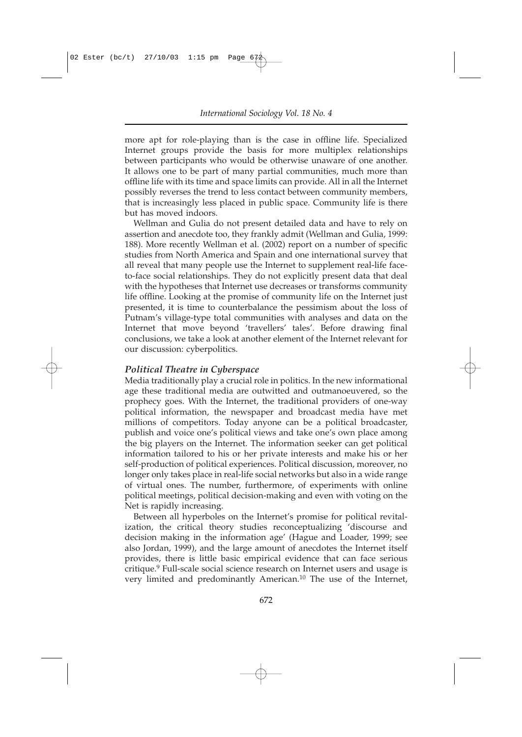more apt for role-playing than is the case in offline life. Specialized Internet groups provide the basis for more multiplex relationships between participants who would be otherwise unaware of one another. It allows one to be part of many partial communities, much more than offline life with its time and space limits can provide. All in all the Internet possibly reverses the trend to less contact between community members, that is increasingly less placed in public space. Community life is there but has moved indoors.

Wellman and Gulia do not present detailed data and have to rely on assertion and anecdote too, they frankly admit (Wellman and Gulia, 1999: 188). More recently Wellman et al. (2002) report on a number of specific studies from North America and Spain and one international survey that all reveal that many people use the Internet to supplement real-life faceto-face social relationships. They do not explicitly present data that deal with the hypotheses that Internet use decreases or transforms community life offline. Looking at the promise of community life on the Internet just presented, it is time to counterbalance the pessimism about the loss of Putnam's village-type total communities with analyses and data on the Internet that move beyond 'travellers' tales'. Before drawing final conclusions, we take a look at another element of the Internet relevant for our discussion: cyberpolitics.

#### *Political Theatre in Cyberspace*

Media traditionally play a crucial role in politics. In the new informational age these traditional media are outwitted and outmanoeuvered, so the prophecy goes. With the Internet, the traditional providers of one-way political information, the newspaper and broadcast media have met millions of competitors. Today anyone can be a political broadcaster, publish and voice one's political views and take one's own place among the big players on the Internet. The information seeker can get political information tailored to his or her private interests and make his or her self-production of political experiences. Political discussion, moreover, no longer only takes place in real-life social networks but also in a wide range of virtual ones. The number, furthermore, of experiments with online political meetings, political decision-making and even with voting on the Net is rapidly increasing.

Between all hyperboles on the Internet's promise for political revitalization, the critical theory studies reconceptualizing 'discourse and decision making in the information age' (Hague and Loader, 1999; see also Jordan, 1999), and the large amount of anecdotes the Internet itself provides, there is little basic empirical evidence that can face serious critique.9 Full-scale social science research on Internet users and usage is very limited and predominantly American.10 The use of the Internet,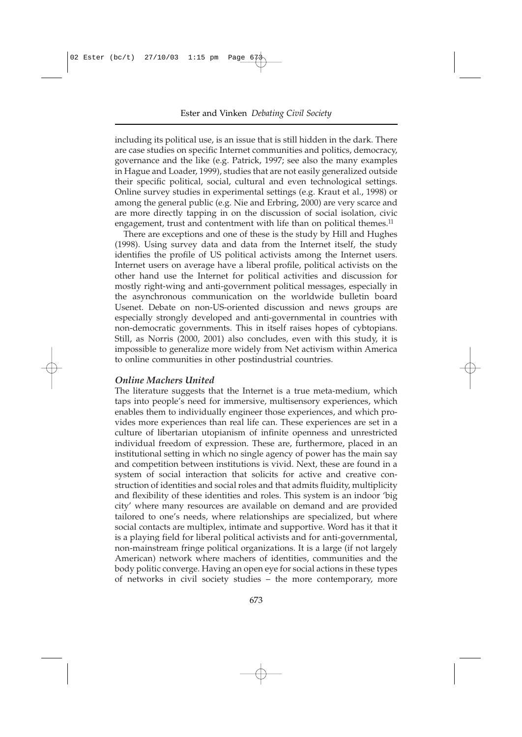including its political use, is an issue that is still hidden in the dark. There are case studies on specific Internet communities and politics, democracy, governance and the like (e.g. Patrick, 1997; see also the many examples in Hague and Loader, 1999), studies that are not easily generalized outside their specific political, social, cultural and even technological settings. Online survey studies in experimental settings (e.g. Kraut et al., 1998) or among the general public (e.g. Nie and Erbring, 2000) are very scarce and are more directly tapping in on the discussion of social isolation, civic engagement, trust and contentment with life than on political themes.<sup>11</sup>

There are exceptions and one of these is the study by Hill and Hughes (1998). Using survey data and data from the Internet itself, the study identifies the profile of US political activists among the Internet users. Internet users on average have a liberal profile, political activists on the other hand use the Internet for political activities and discussion for mostly right-wing and anti-government political messages, especially in the asynchronous communication on the worldwide bulletin board Usenet. Debate on non-US-oriented discussion and news groups are especially strongly developed and anti-governmental in countries with non-democratic governments. This in itself raises hopes of cybtopians. Still, as Norris (2000, 2001) also concludes, even with this study, it is impossible to generalize more widely from Net activism within America to online communities in other postindustrial countries.

#### *Online Machers United*

The literature suggests that the Internet is a true meta-medium, which taps into people's need for immersive, multisensory experiences, which enables them to individually engineer those experiences, and which provides more experiences than real life can. These experiences are set in a culture of libertarian utopianism of infinite openness and unrestricted individual freedom of expression. These are, furthermore, placed in an institutional setting in which no single agency of power has the main say and competition between institutions is vivid. Next, these are found in a system of social interaction that solicits for active and creative construction of identities and social roles and that admits fluidity, multiplicity and flexibility of these identities and roles. This system is an indoor 'big city' where many resources are available on demand and are provided tailored to one's needs, where relationships are specialized, but where social contacts are multiplex, intimate and supportive. Word has it that it is a playing field for liberal political activists and for anti-governmental, non-mainstream fringe political organizations. It is a large (if not largely American) network where machers of identities, communities and the body politic converge. Having an open eye for social actions in these types of networks in civil society studies – the more contemporary, more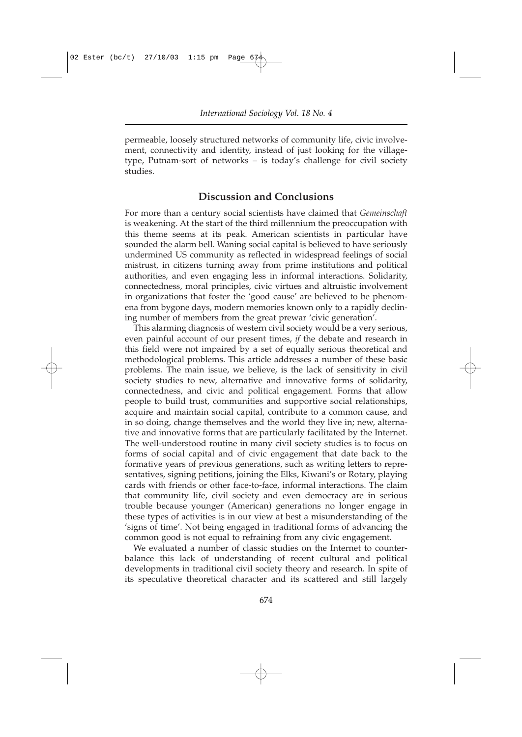permeable, loosely structured networks of community life, civic involvement, connectivity and identity, instead of just looking for the villagetype, Putnam-sort of networks – is today's challenge for civil society studies.

#### **Discussion and Conclusions**

For more than a century social scientists have claimed that *Gemeinschaft* is weakening. At the start of the third millennium the preoccupation with this theme seems at its peak. American scientists in particular have sounded the alarm bell. Waning social capital is believed to have seriously undermined US community as reflected in widespread feelings of social mistrust, in citizens turning away from prime institutions and political authorities, and even engaging less in informal interactions. Solidarity, connectedness, moral principles, civic virtues and altruistic involvement in organizations that foster the 'good cause' are believed to be phenomena from bygone days, modern memories known only to a rapidly declining number of members from the great prewar 'civic generation'.

This alarming diagnosis of western civil society would be a very serious, even painful account of our present times, *if* the debate and research in this field were not impaired by a set of equally serious theoretical and methodological problems. This article addresses a number of these basic problems. The main issue, we believe, is the lack of sensitivity in civil society studies to new, alternative and innovative forms of solidarity, connectedness, and civic and political engagement. Forms that allow people to build trust, communities and supportive social relationships, acquire and maintain social capital, contribute to a common cause, and in so doing, change themselves and the world they live in; new, alternative and innovative forms that are particularly facilitated by the Internet. The well-understood routine in many civil society studies is to focus on forms of social capital and of civic engagement that date back to the formative years of previous generations, such as writing letters to representatives, signing petitions, joining the Elks, Kiwani's or Rotary, playing cards with friends or other face-to-face, informal interactions. The claim that community life, civil society and even democracy are in serious trouble because younger (American) generations no longer engage in these types of activities is in our view at best a misunderstanding of the 'signs of time'. Not being engaged in traditional forms of advancing the common good is not equal to refraining from any civic engagement.

We evaluated a number of classic studies on the Internet to counterbalance this lack of understanding of recent cultural and political developments in traditional civil society theory and research. In spite of its speculative theoretical character and its scattered and still largely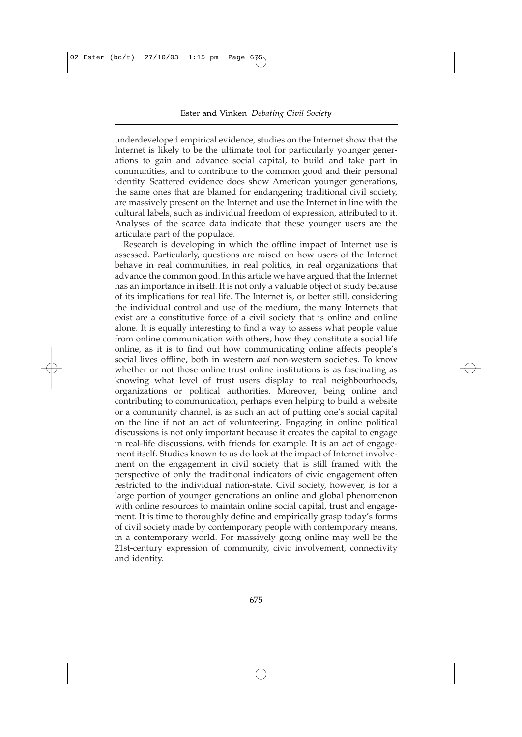underdeveloped empirical evidence, studies on the Internet show that the Internet is likely to be the ultimate tool for particularly younger generations to gain and advance social capital, to build and take part in communities, and to contribute to the common good and their personal identity. Scattered evidence does show American younger generations, the same ones that are blamed for endangering traditional civil society, are massively present on the Internet and use the Internet in line with the cultural labels, such as individual freedom of expression, attributed to it. Analyses of the scarce data indicate that these younger users are the articulate part of the populace.

Research is developing in which the offline impact of Internet use is assessed. Particularly, questions are raised on how users of the Internet behave in real communities, in real politics, in real organizations that advance the common good. In this article we have argued that the Internet has an importance in itself. It is not only a valuable object of study because of its implications for real life. The Internet is, or better still, considering the individual control and use of the medium, the many Internets that exist are a constitutive force of a civil society that is online and online alone. It is equally interesting to find a way to assess what people value from online communication with others, how they constitute a social life online, as it is to find out how communicating online affects people's social lives offline, both in western *and* non-western societies. To know whether or not those online trust online institutions is as fascinating as knowing what level of trust users display to real neighbourhoods, organizations or political authorities. Moreover, being online and contributing to communication, perhaps even helping to build a website or a community channel, is as such an act of putting one's social capital on the line if not an act of volunteering. Engaging in online political discussions is not only important because it creates the capital to engage in real-life discussions, with friends for example. It is an act of engagement itself. Studies known to us do look at the impact of Internet involvement on the engagement in civil society that is still framed with the perspective of only the traditional indicators of civic engagement often restricted to the individual nation-state. Civil society, however, is for a large portion of younger generations an online and global phenomenon with online resources to maintain online social capital, trust and engagement. It is time to thoroughly define and empirically grasp today's forms of civil society made by contemporary people with contemporary means, in a contemporary world. For massively going online may well be the 21st-century expression of community, civic involvement, connectivity and identity.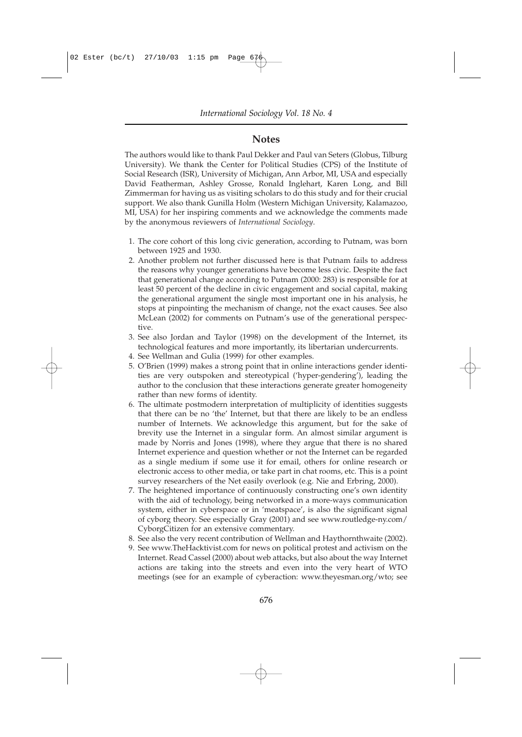#### **Notes**

The authors would like to thank Paul Dekker and Paul van Seters (Globus, Tilburg University). We thank the Center for Political Studies (CPS) of the Institute of Social Research (ISR), University of Michigan, Ann Arbor, MI, USA and especially David Featherman, Ashley Grosse, Ronald Inglehart, Karen Long, and Bill Zimmerman for having us as visiting scholars to do this study and for their crucial support. We also thank Gunilla Holm (Western Michigan University, Kalamazoo, MI, USA) for her inspiring comments and we acknowledge the comments made by the anonymous reviewers of *International Sociology*.

- 1. The core cohort of this long civic generation, according to Putnam, was born between 1925 and 1930.
- 2. Another problem not further discussed here is that Putnam fails to address the reasons why younger generations have become less civic. Despite the fact that generational change according to Putnam (2000: 283) is responsible for at least 50 percent of the decline in civic engagement and social capital, making the generational argument the single most important one in his analysis, he stops at pinpointing the mechanism of change, not the exact causes. See also McLean (2002) for comments on Putnam's use of the generational perspective.
- 3. See also Jordan and Taylor (1998) on the development of the Internet, its technological features and more importantly, its libertarian undercurrents.
- 4. See Wellman and Gulia (1999) for other examples.
- 5. O'Brien (1999) makes a strong point that in online interactions gender identities are very outspoken and stereotypical ('hyper-gendering'), leading the author to the conclusion that these interactions generate greater homogeneity rather than new forms of identity.
- 6. The ultimate postmodern interpretation of multiplicity of identities suggests that there can be no 'the' Internet, but that there are likely to be an endless number of Internets. We acknowledge this argument, but for the sake of brevity use the Internet in a singular form. An almost similar argument is made by Norris and Jones (1998), where they argue that there is no shared Internet experience and question whether or not the Internet can be regarded as a single medium if some use it for email, others for online research or electronic access to other media, or take part in chat rooms, etc. This is a point survey researchers of the Net easily overlook (e.g. Nie and Erbring, 2000).
- 7. The heightened importance of continuously constructing one's own identity with the aid of technology, being networked in a more-ways communication system, either in cyberspace or in 'meatspace', is also the significant signal of cyborg theory. See especially Gray (2001) and see www.routledge-ny.com/ CyborgCitizen for an extensive commentary.
- 8. See also the very recent contribution of Wellman and Haythornthwaite (2002).
- 9. See www.TheHacktivist.com for news on political protest and activism on the Internet. Read Cassel (2000) about web attacks, but also about the way Internet actions are taking into the streets and even into the very heart of WTO meetings (see for an example of cyberaction: www.theyesman.org/wto; see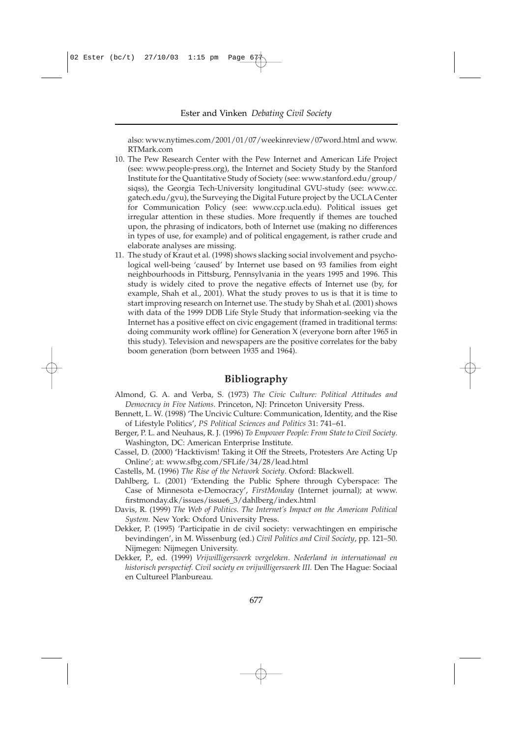also: www.nytimes.com/2001/01/07/weekinreview/07word.html and www. RTMark.com

- 10. The Pew Research Center with the Pew Internet and American Life Project (see: www.people-press.org), the Internet and Society Study by the Stanford Institute for the Quantitative Study of Society (see: www.stanford.edu/group/ siqss), the Georgia Tech-University longitudinal GVU-study (see: www.cc. gatech.edu/gvu), the Surveying the Digital Future project by the UCLA Center for Communication Policy (see: www.ccp.ucla.edu). Political issues get irregular attention in these studies. More frequently if themes are touched upon, the phrasing of indicators, both of Internet use (making no differences in types of use, for example) and of political engagement, is rather crude and elaborate analyses are missing.
- 11. The study of Kraut et al*.* (1998) shows slacking social involvement and psychological well-being 'caused' by Internet use based on 93 families from eight neighbourhoods in Pittsburg, Pennsylvania in the years 1995 and 1996. This study is widely cited to prove the negative effects of Internet use (by, for example, Shah et al., 2001). What the study proves to us is that it is time to start improving research on Internet use. The study by Shah et al. (2001) shows with data of the 1999 DDB Life Style Study that information-seeking via the Internet has a positive effect on civic engagement (framed in traditional terms: doing community work offline) for Generation X (everyone born after 1965 in this study). Television and newspapers are the positive correlates for the baby boom generation (born between 1935 and 1964).

## **Bibliography**

- Almond, G. A. and Verba, S. (1973) *The Civic Culture: Political Attitudes and Democracy in Five Nations*. Princeton, NJ: Princeton University Press.
- Bennett, L. W. (1998) 'The Uncivic Culture: Communication, Identity, and the Rise of Lifestyle Politics', *PS Political Sciences and Politics* 31: 741–61.
- Berger, P. L. and Neuhaus, R. J. (1996) *To Empower People: From State to Civil Society*. Washington, DC: American Enterprise Institute.
- Cassel, D. (2000) 'Hacktivism! Taking it Off the Streets, Protesters Are Acting Up Online'; at: www.sfbg.com/SFLife/34/28/lead.html
- Castells, M. (1996) *The Rise of the Network Society*. Oxford: Blackwell.
- Dahlberg, L. (2001) 'Extending the Public Sphere through Cyberspace: The Case of Minnesota e-Democracy', *FirstMonday* (Internet journal); at www. firstmonday.dk/issues/issue6\_3/dahlberg/index.html
- Davis, R. (1999) *The Web of Politics. The Internet's Impact on the American Political System.* New York: Oxford University Press.
- Dekker, P. (1995) 'Participatie in de civil society: verwachtingen en empirische bevindingen', in M. Wissenburg (ed.) *Civil Politics and Civil Society*, pp. 121–50. Nijmegen: Nijmegen University.
- Dekker, P., ed. (1999) *Vrijwilligerswerk vergeleken*. *Nederland in internationaal en historisch perspectief. Civil society en vrijwilligerswerk III.* Den The Hague: Sociaal en Cultureel Planbureau.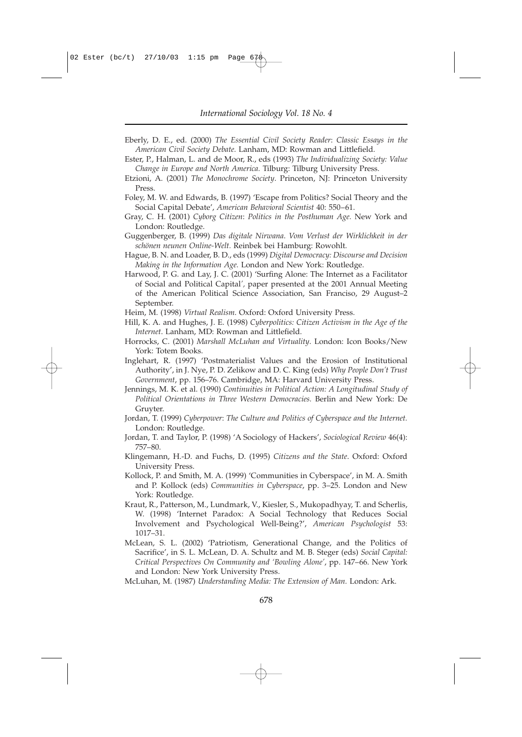- Eberly, D. E., ed. (2000) *The Essential Civil Society Reader*: *Classic Essays in the American Civil Society Debate.* Lanham, MD: Rowman and Littlefield.
- Ester, P., Halman, L. and de Moor, R., eds (1993) *The Individualizing Society: Value Change in Europe and North America.* Tilburg: Tilburg University Press.
- Etzioni, A. (2001) *The Monochrome Society*. Princeton, NJ: Princeton University Press.
- Foley, M. W. and Edwards, B. (1997) 'Escape from Politics? Social Theory and the Social Capital Debate', *American Behavioral Scientist* 40: 550–61.
- Gray, C. H. (2001) *Cyborg Citizen*: *Politics in the Posthuman Age.* New York and London: Routledge.
- Guggenberger, B. (1999) *Das digitale Nirwana*. *Vom Verlust der Wirklichkeit in der schönen neunen Online-Welt.* Reinbek bei Hamburg: Rowohlt.
- Hague, B. N. and Loader, B. D., eds (1999) *Digital Democracy: Discourse and Decision Making in the Information Age.* London and New York: Routledge.
- Harwood, P. G. and Lay, J. C. (2001) 'Surfing Alone: The Internet as a Facilitator of Social and Political Capital*',* paper presented at the 2001 Annual Meeting of the American Political Science Association, San Franciso, 29 August–2 September.
- Heim, M. (1998) *Virtual Realism*. Oxford: Oxford University Press.
- Hill, K. A. and Hughes, J. E. (1998) *Cyberpolitics: Citizen Activism in the Age of the Internet*. Lanham, MD: Rowman and Littlefield.
- Horrocks, C. (2001) *Marshall McLuhan and Virtuality*. London: Icon Books/New York: Totem Books.
- Inglehart, R. (1997) 'Postmaterialist Values and the Erosion of Institutional Authority', in J. Nye, P. D. Zelikow and D. C. King (eds) *Why People Don't Trust Government*, pp. 156–76. Cambridge, MA: Harvard University Press.
- Jennings, M. K. et al. (1990) *Continuities in Political Action: A Longitudinal Study of Political Orientations in Three Western Democracies.* Berlin and New York: De Gruyter.
- Jordan, T. (1999) *Cyberpower*: *The Culture and Politics of Cyberspace and the Internet.* London: Routledge.
- Jordan, T. and Taylor, P. (1998) 'A Sociology of Hackers', *Sociological Review* 46(4): 757–80.
- Klingemann, H.-D. and Fuchs, D. (1995) *Citizens and the State*. Oxford: Oxford University Press.
- Kollock, P. and Smith, M. A. (1999) 'Communities in Cyberspace', in M. A. Smith and P. Kollock (eds) *Communities in Cyberspace*, pp. 3–25. London and New York: Routledge.
- Kraut, R., Patterson, M., Lundmark, V., Kiesler, S., Mukopadhyay, T. and Scherlis, W. (1998) 'Internet Paradox: A Social Technology that Reduces Social Involvement and Psychological Well-Being?', *American Psychologist* 53: 1017–31.
- McLean, S. L. (2002) 'Patriotism, Generational Change, and the Politics of Sacrifice', in S. L. McLean, D. A. Schultz and M. B. Steger (eds) *Social Capital: Critical Perspectives On Community and 'Bowling Alone'*, pp. 147–66. New York and London: New York University Press.
- McLuhan, M. (1987) *Understanding Media: The Extension of Man.* London: Ark.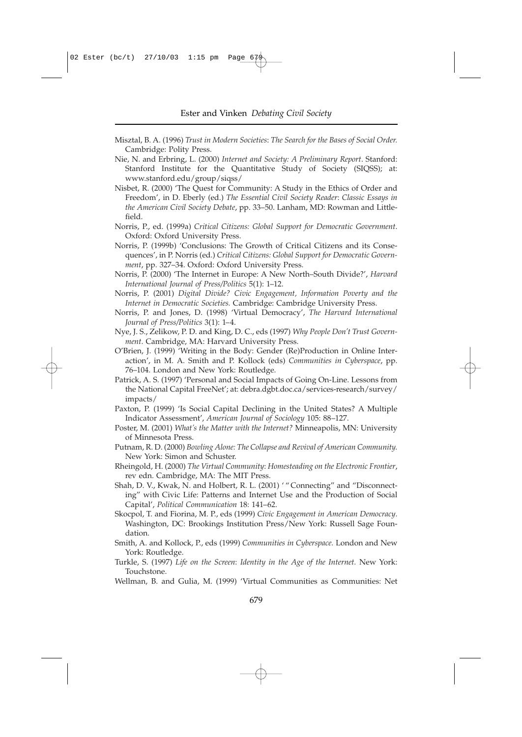- Misztal, B. A. (1996) *Trust in Modern Societies*: *The Search for the Bases of Social Order.* Cambridge: Polity Press.
- Nie, N. and Erbring, L. (2000) *Internet and Society: A Preliminary Report*. Stanford: Stanford Institute for the Quantitative Study of Society (SIQSS); at: www.stanford.edu/group/siqss/
- Nisbet, R. (2000) 'The Quest for Community: A Study in the Ethics of Order and Freedom', in D. Eberly (ed.) *The Essential Civil Society Reader*: *Classic Essays in the American Civil Society Debate*, pp. 33–50. Lanham, MD: Rowman and Littlefield.
- Norris, P., ed. (1999a) *Critical Citizens: Global Support for Democratic Government*. Oxford: Oxford University Press.
- Norris, P. (1999b) 'Conclusions: The Growth of Critical Citizens and its Consequences', in P. Norris (ed.) *Critical Citizens: Global Support for Democratic Government*, pp. 327–34. Oxford: Oxford University Press.
- Norris, P. (2000) 'The Internet in Europe: A New North–South Divide?', *Harvard International Journal of Press/Politics* 5(1): 1–12.
- Norris, P. (2001) *Digital Divide? Civic Engagement, Information Poverty and the Internet in Democratic Societies.* Cambridge: Cambridge University Press.
- Norris, P. and Jones, D. (1998) 'Virtual Democracy', *The Harvard International Journal of Press/Politics* 3(1): 1–4.
- Nye, J. S., Zelikow, P. D. and King, D. C., eds (1997) *Why People Don't Trust Government*. Cambridge, MA: Harvard University Press.
- O'Brien, J. (1999) 'Writing in the Body: Gender (Re)Production in Online Interaction', in M. A. Smith and P. Kollock (eds) *Communities in Cyberspace*, pp. 76–104. London and New York: Routledge.
- Patrick, A. S. (1997) 'Personal and Social Impacts of Going On-Line. Lessons from the National Capital FreeNet'; at: debra.dgbt.doc.ca/services-research/survey/ impacts/
- Paxton, P. (1999) 'Is Social Capital Declining in the United States? A Multiple Indicator Assessment', *American Journal of Sociology* 105: 88–127.
- Poster, M. (2001) *What's the Matter with the Internet?* Minneapolis, MN: University of Minnesota Press.
- Putnam, R. D. (2000) *Bowling Alone: The Collapse and Revival of American Community.* New York: Simon and Schuster.
- Rheingold, H. (2000) *The Virtual Community*: *Homesteading on the Electronic Frontier*, rev edn. Cambridge, MA: The MIT Press.
- Shah, D. V., Kwak, N. and Holbert, R. L. (2001) ' " Connecting" and "Disconnecting" with Civic Life: Patterns and Internet Use and the Production of Social Capital', *Political Communication* 18: 141–62.
- Skocpol, T. and Fiorina, M. P., eds (1999) *Civic Engagement in American Democracy*. Washington, DC: Brookings Institution Press/New York: Russell Sage Foundation.
- Smith, A. and Kollock, P., eds (1999) *Communities in Cyberspace.* London and New York: Routledge.
- Turkle, S. (1997) *Life on the Screen*: *Identity in the Age of the Internet.* New York: Touchstone.
- Wellman, B. and Gulia, M. (1999) 'Virtual Communities as Communities: Net